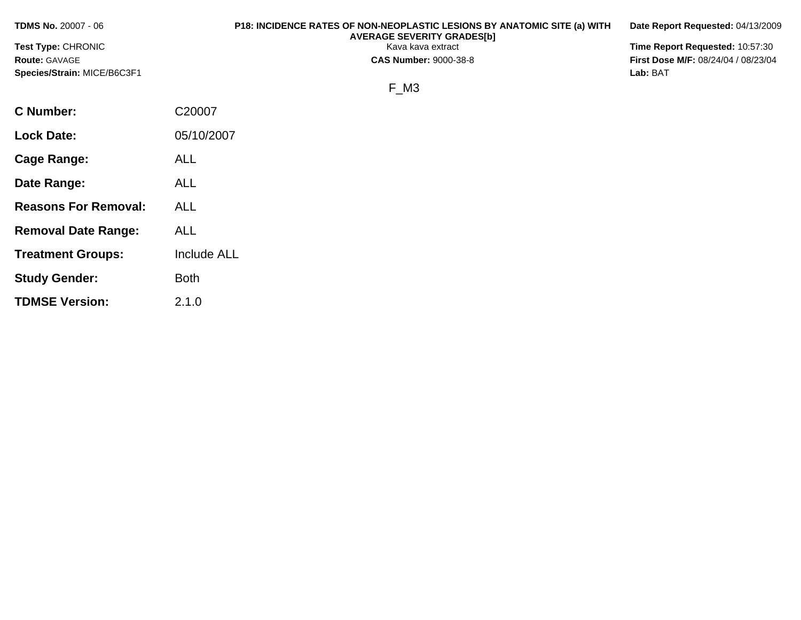**TDMS No.** 20007 - 06 **P18: INCIDENCE RATES OF NON-NEOPLASTIC LESIONS BY ANATOMIC SITE (a) WITH AVERAGE SEVERITY GRADES[b] Date Report Requested:** 04/13/2009 **Test Type:** CHRONIC **Transfer CHRONIC** Kava Rava extract **Time Report Requested:** 10:57:30 **Route:** GAVAGE **CAS Number:** 9000-38-8 **First Dose M/F:** 08/24/04 / 08/23/04 **Species/Strain:** MICE/B6C3F1 **Lab:** BAT F\_M3 **C Number:** C20007 **Lock Date:** 05/10/2007 **Cage Range:** ALL

**Date Range:** ALL

**Reasons For Removal:** ALL

**Removal Date Range:** ALL

**Study Gender:** Both

**TDMSE Version:** 2.1.0

**Treatment Groups:** Include ALL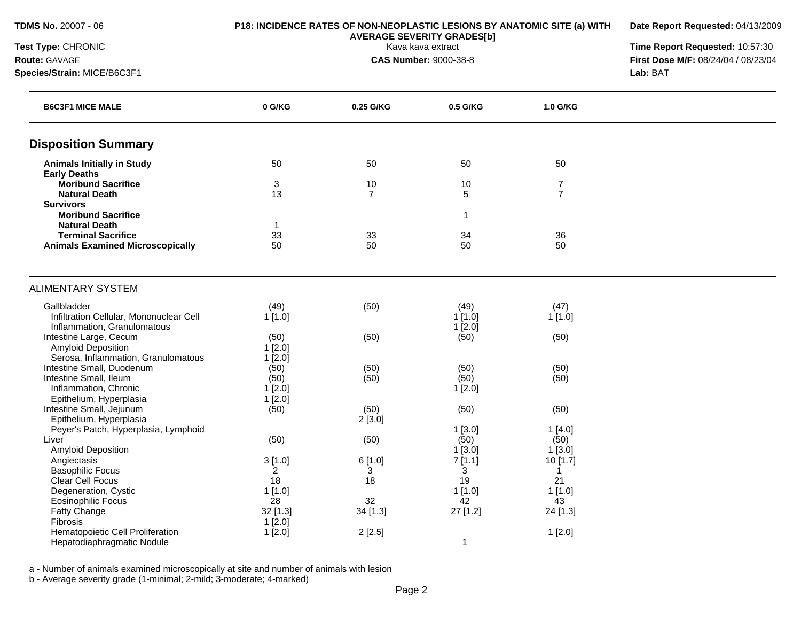**Date Report Requested:** 04/13/2009

**Test Type:** CHRONIC Kava kava extract **Time Report Requested:** 10:57:30 **Route:** GAVAGE **CAS Number:** 9000-38-8 **First Dose M/F:** 08/24/04 / 08/23/04 **Species/Strain:** MICE/B6C3F1 **Lab:** BAT

| <b>B6C3F1 MICE MALE</b>                 | 0 G/KG         | 0.25 G/KG      | 0.5 G/KG     | 1.0 G/KG       |  |
|-----------------------------------------|----------------|----------------|--------------|----------------|--|
| <b>Disposition Summary</b>              |                |                |              |                |  |
| <b>Animals Initially in Study</b>       | 50             | 50             | 50           | 50             |  |
| <b>Early Deaths</b>                     |                |                |              |                |  |
| <b>Moribund Sacrifice</b>               | 3              | 10             | 10           | 7              |  |
| <b>Natural Death</b>                    | 13             | $\overline{7}$ | 5            | $\overline{7}$ |  |
| <b>Survivors</b>                        |                |                |              |                |  |
| <b>Moribund Sacrifice</b>               |                |                | $\mathbf{1}$ |                |  |
| <b>Natural Death</b>                    | -1             |                |              |                |  |
| <b>Terminal Sacrifice</b>               | 33             | 33             | 34           | 36             |  |
| <b>Animals Examined Microscopically</b> | 50             | 50             | 50           | 50             |  |
| <b>ALIMENTARY SYSTEM</b>                |                |                |              |                |  |
| Gallbladder                             | (49)           | (50)           | (49)         | (47)           |  |
| Infiltration Cellular, Mononuclear Cell | 1[1.0]         |                | 1[1.0]       | 1[1.0]         |  |
| Inflammation, Granulomatous             |                |                | 1[2.0]       |                |  |
| Intestine Large, Cecum                  | (50)           | (50)           | (50)         | (50)           |  |
| <b>Amyloid Deposition</b>               | 1[2.0]         |                |              |                |  |
| Serosa, Inflammation, Granulomatous     | 1[2.0]         |                |              |                |  |
| Intestine Small, Duodenum               | (50)           | (50)           | (50)         | (50)           |  |
| Intestine Small, Ileum                  | (50)           | (50)           | (50)         | (50)           |  |
| Inflammation, Chronic                   | 1[2.0]         |                | 1[2.0]       |                |  |
| Epithelium, Hyperplasia                 | 1[2.0]         |                |              |                |  |
| Intestine Small, Jejunum                | (50)           | (50)           | (50)         | (50)           |  |
| Epithelium, Hyperplasia                 |                | 2[3.0]         |              |                |  |
| Peyer's Patch, Hyperplasia, Lymphoid    |                |                | 1[3.0]       | 1[4.0]         |  |
| Liver                                   | (50)           | (50)           | (50)         | (50)           |  |
| Amyloid Deposition                      |                |                | $1$ [3.0]    | 1[3.0]         |  |
| Angiectasis                             | 3[1.0]         | 6[1.0]         | 7[1.1]       | 10 [1.7]       |  |
| <b>Basophilic Focus</b>                 | $\overline{a}$ | 3              | 3            | 1              |  |
| Clear Cell Focus                        | 18             | 18             | 19           | 21             |  |
| Degeneration, Cystic                    | 1[1.0]         |                | 1[1.0]       | 1[1.0]         |  |
| Eosinophilic Focus                      | 28             | 32             | 42           | 43             |  |
| Fatty Change                            | 32 [1.3]       | 34 [1.3]       | 27 [1.2]     | 24 [1.3]       |  |
| Fibrosis                                | 1[2.0]         |                |              |                |  |
| Hematopoietic Cell Proliferation        | 1[2.0]         | 2[2.5]         |              | 1[2.0]         |  |
| Hepatodiaphragmatic Nodule              |                |                | $\mathbf{1}$ |                |  |

a - Number of animals examined microscopically at site and number of animals with lesion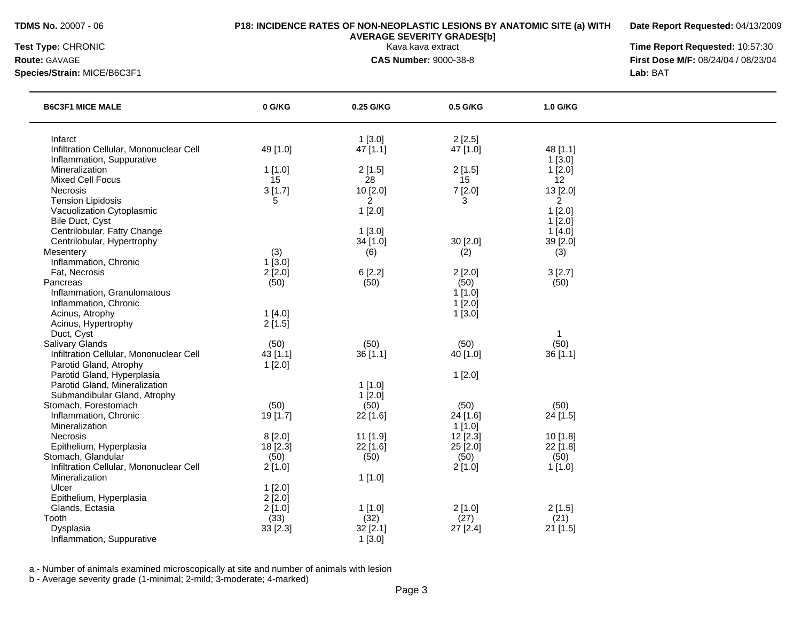### **TDMS No.** 20007 - 06 **P18: INCIDENCE RATES OF NON-NEOPLASTIC LESIONS BY ANATOMIC SITE (a) WITH**

**Date Report Requested:** 04/13/2009

**Species/Strain:** MICE/B6C3F1 **Lab:** BAT

**AVERAGE SEVERITY GRADES[b]**

**Test Type:** CHRONIC Kava kava extract **Time Report Requested:** 10:57:30 **Route:** GAVAGE **CAS Number:** 9000-38-8 **First Dose M/F:** 08/24/04 / 08/23/04

| <b>B6C3F1 MICE MALE</b>                                           | 0 G/KG                  | 0.25 G/KG            | 0.5 G/KG           | 1.0 G/KG                   |  |
|-------------------------------------------------------------------|-------------------------|----------------------|--------------------|----------------------------|--|
| Infarct<br>Infiltration Cellular, Mononuclear Cell                | 49 [1.0]                | 1[3.0]<br>$47$ [1.1] | 2[2.5]<br>47 [1.0] | 48 [1.1]                   |  |
| Inflammation, Suppurative                                         |                         |                      |                    | 1[3.0]                     |  |
| Mineralization                                                    | 1[1.0]                  | 2[1.5]               | 2[1.5]             | 1[2.0]                     |  |
| <b>Mixed Cell Focus</b>                                           | 15                      | 28                   | 15                 | 12                         |  |
| Necrosis<br><b>Tension Lipidosis</b>                              | 3[1.7]<br>5             | 10 [2.0]<br>2        | 7[2.0]<br>3        | 13 [2.0]<br>$\overline{2}$ |  |
| Vacuolization Cytoplasmic                                         |                         | 1[2.0]               |                    | 1[2.0]                     |  |
| Bile Duct, Cyst                                                   |                         |                      |                    | 1[2.0]                     |  |
| Centrilobular, Fatty Change                                       |                         | 1[3.0]               |                    | 1[4.0]                     |  |
| Centrilobular, Hypertrophy                                        |                         | 34 [1.0]             | 30 [2.0]           | 39 [2.0]                   |  |
| Mesentery                                                         | (3)                     | (6)                  | (2)                | (3)                        |  |
| Inflammation, Chronic                                             | $1$ [3.0]               |                      |                    |                            |  |
| Fat, Necrosis<br>Pancreas                                         | $2$ [ $2.0$ ]<br>(50)   | 6[2.2]<br>(50)       | 2[2.0]<br>(50)     | 3[2.7]<br>(50)             |  |
| Inflammation, Granulomatous                                       |                         |                      | $1$ [1.0]          |                            |  |
| Inflammation, Chronic                                             |                         |                      | 1[2.0]             |                            |  |
| Acinus, Atrophy                                                   | 1[4.0]                  |                      | 1[3.0]             |                            |  |
| Acinus, Hypertrophy                                               | 2[1.5]                  |                      |                    |                            |  |
| Duct, Cyst                                                        |                         |                      |                    |                            |  |
| <b>Salivary Glands</b><br>Infiltration Cellular, Mononuclear Cell | (50)<br>43 [1.1]        | (50)<br>36[1.1]      | (50)<br>40 [1.0]   | (50)<br>36 [1.1]           |  |
| Parotid Gland, Atrophy                                            | 1[2.0]                  |                      |                    |                            |  |
| Parotid Gland, Hyperplasia                                        |                         |                      | 1[2.0]             |                            |  |
| Parotid Gland, Mineralization                                     |                         | $1$ [1.0]            |                    |                            |  |
| Submandibular Gland, Atrophy                                      |                         | $1$ [2.0]            |                    |                            |  |
| Stomach, Forestomach                                              | (50)                    | (50)                 | (50)               | (50)                       |  |
| Inflammation, Chronic<br>Mineralization                           | 19 [1.7]                | 22 [1.6]             | 24 [1.6]<br>1[1.0] | 24 [1.5]                   |  |
| Necrosis                                                          | 8[2.0]                  | 11 [1.9]             | $12$ [2.3]         | 10 [1.8]                   |  |
| Epithelium, Hyperplasia                                           | 18 [2.3]                | 22 [1.6]             | 25 [2.0]           | 22 [1.8]                   |  |
| Stomach, Glandular                                                | (50)                    | (50)                 | (50)               | (50)                       |  |
| Infiltration Cellular, Mononuclear Cell                           | 2[1.0]                  |                      | 2[1.0]             | 1[1.0]                     |  |
| Mineralization                                                    |                         | 1[1.0]               |                    |                            |  |
| Ulcer<br>Epithelium, Hyperplasia                                  | 1[2.0]                  |                      |                    |                            |  |
| Glands, Ectasia                                                   | $2$ [ $2.0$ ]<br>2[1.0] | 1[1.0]               | 2[1.0]             | 2[1.5]                     |  |
| Tooth                                                             | (33)                    | (32)                 | (27)               | (21)                       |  |
| Dysplasia                                                         | 33 [2.3]                | 32 [2.1]             | 27 [2.4]           | 21 [1.5]                   |  |
| Inflammation, Suppurative                                         |                         | 1[3.0]               |                    |                            |  |

a - Number of animals examined microscopically at site and number of animals with lesion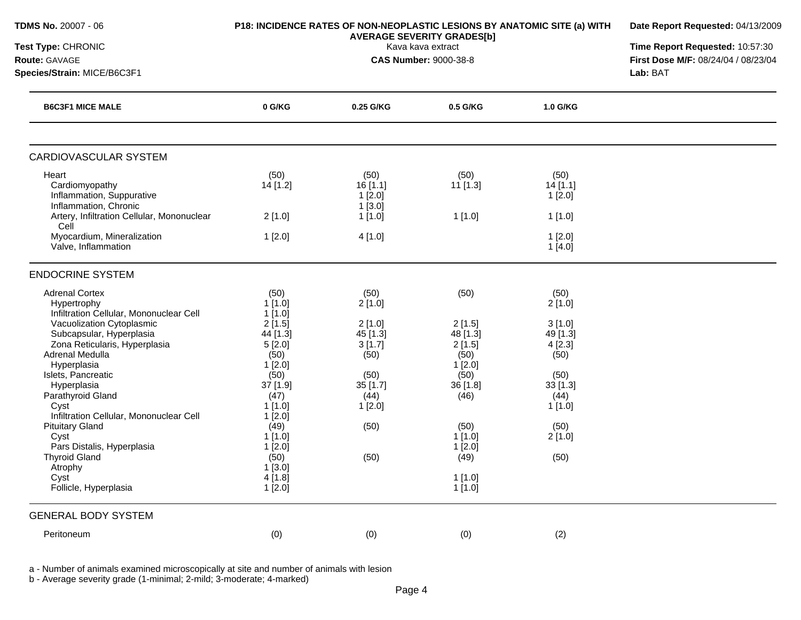| <b>TDMS No. 20007 - 06</b>                                                                                |                                              | P18: INCIDENCE RATES OF NON-NEOPLASTIC LESIONS BY ANATOMIC SITE (a) WITH<br><b>AVERAGE SEVERITY GRADES[b]</b> |                                        |                                      |  |  |
|-----------------------------------------------------------------------------------------------------------|----------------------------------------------|---------------------------------------------------------------------------------------------------------------|----------------------------------------|--------------------------------------|--|--|
| Test Type: CHRONIC<br><b>Route: GAVAGE</b><br>Species/Strain: MICE/B6C3F1                                 |                                              | Time Report Requested: 10:57:30<br>First Dose M/F: 08/24/04 / 08/23/04<br>Lab: BAT                            |                                        |                                      |  |  |
| <b>B6C3F1 MICE MALE</b>                                                                                   | 0 G/KG                                       | 0.25 G/KG                                                                                                     | 0.5 G/KG                               | 1.0 G/KG                             |  |  |
| CARDIOVASCULAR SYSTEM                                                                                     |                                              |                                                                                                               |                                        |                                      |  |  |
| Heart<br>Cardiomyopathy<br>Inflammation, Suppurative<br>Inflammation, Chronic                             | (50)<br>14 [1.2]                             | (50)<br>16[1.1]<br>$1$ [2.0]<br>$1$ [3.0]                                                                     | (50)<br>$11$ [1.3]                     | (50)<br>14[1.1]<br>$1$ [2.0]         |  |  |
| Artery, Infiltration Cellular, Mononuclear<br>Cell<br>Myocardium, Mineralization<br>Valve, Inflammation   | $2$ [1.0]<br>1[2.0]                          | 1[1.0]<br>4[1.0]                                                                                              | 1[1.0]                                 | 1[1.0]<br>1[2.0]<br>1[4.0]           |  |  |
| <b>ENDOCRINE SYSTEM</b>                                                                                   |                                              |                                                                                                               |                                        |                                      |  |  |
| <b>Adrenal Cortex</b><br>Hypertrophy<br>Infiltration Cellular, Mononuclear Cell                           | (50)<br>$1$ [1.0]<br>1[1.0]                  | (50)<br>2[1.0]                                                                                                | (50)                                   | (50)<br>2[1.0]                       |  |  |
| Vacuolization Cytoplasmic<br>Subcapsular, Hyperplasia<br>Zona Reticularis, Hyperplasia<br>Adrenal Medulla | 2[1.5]<br>44 [1.3]<br>5[2.0]<br>(50)         | 2[1.0]<br>45 [1.3]<br>3[1.7]<br>(50)                                                                          | 2[1.5]<br>$48$ [1.3]<br>2[1.5]<br>(50) | 3[1.0]<br>49 [1.3]<br>4[2.3]<br>(50) |  |  |
| Hyperplasia<br>Islets, Pancreatic<br>Hyperplasia<br>Parathyroid Gland<br>Cyst                             | 1[2.0]<br>(50)<br>37 [1.9]<br>(47)<br>1[1.0] | (50)<br>$35$ [1.7]<br>(44)<br>1[2.0]                                                                          | 1[2.0]<br>(50)<br>36 [1.8]<br>(46)     | (50)<br>$33$ [1.3]<br>(44)<br>1[1.0] |  |  |
| Infiltration Cellular, Mononuclear Cell<br><b>Pituitary Gland</b><br>Cyst<br>Pars Distalis, Hyperplasia   | 1[2.0]<br>(49)<br>$1$ [1.0]<br>1[2.0]        | (50)                                                                                                          | (50)<br>$1$ [1.0]<br>1[2.0]            | (50)<br>$2$ [1.0]                    |  |  |
| <b>Thyroid Gland</b><br>Atrophy<br>Cyst<br>Follicle, Hyperplasia                                          | (50)<br>1[3.0]<br>4[1.8]<br>1[2.0]           | (50)                                                                                                          | (49)<br>1[1.0]<br>$1$ [1.0]            | (50)                                 |  |  |
| <b>GENERAL BODY SYSTEM</b>                                                                                |                                              |                                                                                                               |                                        |                                      |  |  |
| Peritoneum                                                                                                | (0)                                          | (0)                                                                                                           | (0)                                    | (2)                                  |  |  |

a - Number of animals examined microscopically at site and number of animals with lesion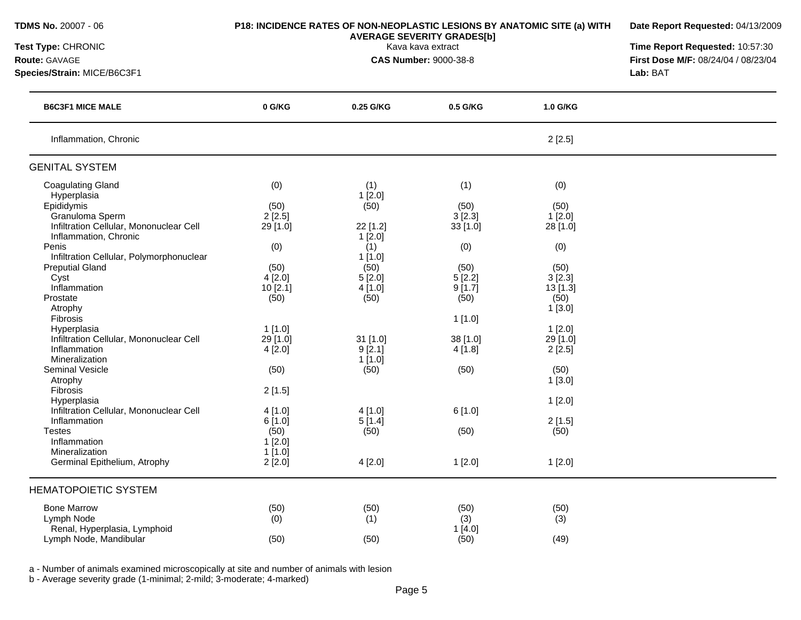| <b>TDMS No. 20007 - 06</b>                                                                                                                                                                                                                                                                                                                                                                                       |                                                                                                                        | P18: INCIDENCE RATES OF NON-NEOPLASTIC LESIONS BY ANATOMIC SITE (a) WITH<br><b>AVERAGE SEVERITY GRADES[b]</b>                            |                                                                                                                      |                                                                                                                                            |  |  |
|------------------------------------------------------------------------------------------------------------------------------------------------------------------------------------------------------------------------------------------------------------------------------------------------------------------------------------------------------------------------------------------------------------------|------------------------------------------------------------------------------------------------------------------------|------------------------------------------------------------------------------------------------------------------------------------------|----------------------------------------------------------------------------------------------------------------------|--------------------------------------------------------------------------------------------------------------------------------------------|--|--|
| Test Type: CHRONIC<br>Route: GAVAGE<br>Species/Strain: MICE/B6C3F1                                                                                                                                                                                                                                                                                                                                               |                                                                                                                        | Time Report Requested: 10:57:30<br>First Dose M/F: 08/24/04 / 08/23/04<br>Lab: BAT                                                       |                                                                                                                      |                                                                                                                                            |  |  |
|                                                                                                                                                                                                                                                                                                                                                                                                                  |                                                                                                                        |                                                                                                                                          |                                                                                                                      |                                                                                                                                            |  |  |
| <b>B6C3F1 MICE MALE</b>                                                                                                                                                                                                                                                                                                                                                                                          | 0 G/KG                                                                                                                 | 0.25 G/KG                                                                                                                                | 0.5 G/KG                                                                                                             | 1.0 G/KG                                                                                                                                   |  |  |
| Inflammation, Chronic                                                                                                                                                                                                                                                                                                                                                                                            |                                                                                                                        |                                                                                                                                          |                                                                                                                      | 2[2.5]                                                                                                                                     |  |  |
| <b>GENITAL SYSTEM</b>                                                                                                                                                                                                                                                                                                                                                                                            |                                                                                                                        |                                                                                                                                          |                                                                                                                      |                                                                                                                                            |  |  |
| <b>Coagulating Gland</b><br>Hyperplasia<br>Epididymis<br>Granuloma Sperm<br>Infiltration Cellular, Mononuclear Cell<br>Inflammation, Chronic<br>Penis<br>Infiltration Cellular, Polymorphonuclear<br><b>Preputial Gland</b><br>Cyst<br>Inflammation<br>Prostate<br>Atrophy<br>Fibrosis<br>Hyperplasia<br>Infiltration Cellular, Mononuclear Cell<br>Inflammation<br>Mineralization<br>Seminal Vesicle<br>Atrophy | (0)<br>(50)<br>2[2.5]<br>29 [1.0]<br>(0)<br>(50)<br>4[2.0]<br>10 [2.1]<br>(50)<br>1[1.0]<br>29 [1.0]<br>4[2.0]<br>(50) | (1)<br>1[2.0]<br>(50)<br>22 [1.2]<br>1[2.0]<br>(1)<br>1[1.0]<br>(50)<br>5[2.0]<br>4[1.0]<br>(50)<br>31 [1.0]<br>9[2.1]<br>1[1.0]<br>(50) | (1)<br>(50)<br>3[2.3]<br>33 [1.0]<br>(0)<br>(50)<br>5[2.2]<br>9[1.7]<br>(50)<br>1[1.0]<br>38 [1.0]<br>4[1.8]<br>(50) | (0)<br>(50)<br>1[2.0]<br>28 [1.0]<br>(0)<br>(50)<br>3[2.3]<br>13 [1.3]<br>(50)<br>1[3.0]<br>1[2.0]<br>29 [1.0]<br>2[2.5]<br>(50)<br>1[3.0] |  |  |
| Fibrosis<br>Hyperplasia<br>Infiltration Cellular, Mononuclear Cell<br>Inflammation<br><b>Testes</b><br>Inflammation<br>Mineralization<br>Germinal Epithelium, Atrophy                                                                                                                                                                                                                                            | 2[1.5]<br>4[1.0]<br>6 [1.0]<br>(50)<br>1[2.0]<br>1[1.0]<br>2[2.0]                                                      | 4[1.0]<br>5[1.4]<br>(50)<br>4[2.0]                                                                                                       | 6[1.0]<br>(50)<br>1[2.0]                                                                                             | 1[2.0]<br>2[1.5]<br>(50)<br>1[2.0]                                                                                                         |  |  |
| <b>HEMATOPOIETIC SYSTEM</b><br><b>Bone Marrow</b><br>Lymph Node<br>Renal, Hyperplasia, Lymphoid<br>Lymph Node, Mandibular                                                                                                                                                                                                                                                                                        | (50)<br>(0)<br>(50)                                                                                                    | (50)<br>(1)<br>(50)                                                                                                                      | (50)<br>(3)<br>1[4.0]<br>(50)                                                                                        | (50)<br>(3)<br>(49)                                                                                                                        |  |  |

a - Number of animals examined microscopically at site and number of animals with lesion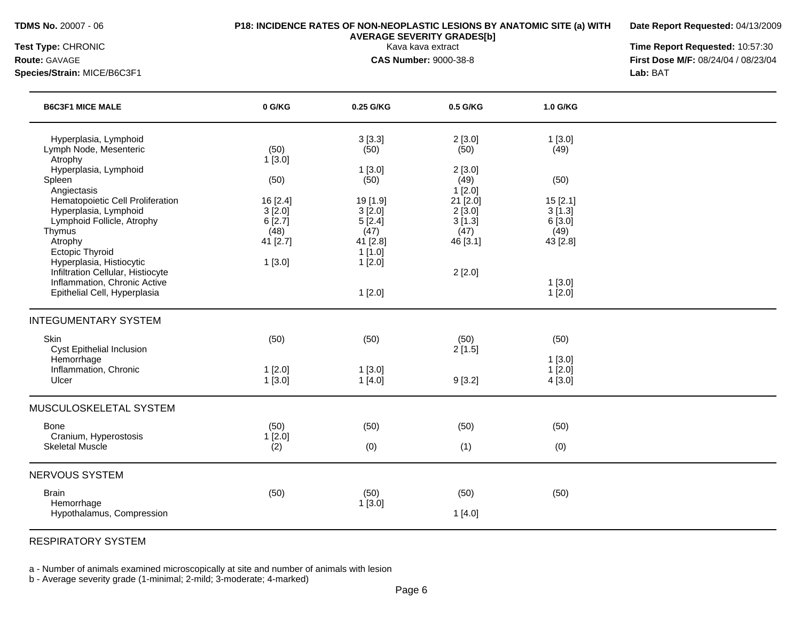**Date Report Requested:** 04/13/2009

**Species/Strain:** MICE/B6C3F1 **Lab:** BAT

**Test Type:** CHRONIC Kava kava extract **Time Report Requested:** 10:57:30 **Route:** GAVAGE **CAS Number:** 9000-38-8 **First Dose M/F:** 08/24/04 / 08/23/04

| <b>B6C3F1 MICE MALE</b>                                                                           | 0 G/KG                               | 0.25 G/KG                            | 0.5 G/KG                             | 1.0 G/KG                            |  |
|---------------------------------------------------------------------------------------------------|--------------------------------------|--------------------------------------|--------------------------------------|-------------------------------------|--|
| Hyperplasia, Lymphoid<br>Lymph Node, Mesenteric<br>Atrophy                                        | (50)<br>1[3.0]                       | 3[3.3]<br>(50)                       | 2[3.0]<br>(50)                       | 1[3.0]<br>(49)                      |  |
| Hyperplasia, Lymphoid<br>Spleen<br>Angiectasis                                                    | (50)                                 | 1[3.0]<br>(50)                       | 2[3.0]<br>(49)<br>1[2.0]             | (50)                                |  |
| Hematopoietic Cell Proliferation<br>Hyperplasia, Lymphoid<br>Lymphoid Follicle, Atrophy<br>Thymus | 16 [2.4]<br>3[2.0]<br>6[2.7]<br>(48) | 19 [1.9]<br>3[2.0]<br>5[2.4]<br>(47) | 21 [2.0]<br>2[3.0]<br>3[1.3]<br>(47) | 15[2.1]<br>3[1.3]<br>6[3.0]<br>(49) |  |
| Atrophy<br><b>Ectopic Thyroid</b><br>Hyperplasia, Histiocytic                                     | 41 [2.7]<br>1[3.0]                   | 41 [2.8]<br>1[1.0]<br>1[2.0]         | 46 [3.1]                             | 43 [2.8]                            |  |
| Infiltration Cellular, Histiocyte<br>Inflammation, Chronic Active<br>Epithelial Cell, Hyperplasia |                                      | 1[2.0]                               | 2[2.0]                               | 1[3.0]<br>$1$ [2.0]                 |  |
| <b>INTEGUMENTARY SYSTEM</b>                                                                       |                                      |                                      |                                      |                                     |  |
| Skin<br>Cyst Epithelial Inclusion<br>Hemorrhage                                                   | (50)                                 | (50)                                 | (50)<br>2[1.5]                       | (50)<br>1[3.0]                      |  |
| Inflammation, Chronic<br>Ulcer                                                                    | 1[2.0]<br>1[3.0]                     | 1[3.0]<br>1[4.0]                     | 9[3.2]                               | $1$ [2.0]<br>4[3.0]                 |  |
| MUSCULOSKELETAL SYSTEM                                                                            |                                      |                                      |                                      |                                     |  |
| Bone<br>Cranium, Hyperostosis                                                                     | (50)<br>1[2.0]                       | (50)                                 | (50)                                 | (50)                                |  |
| <b>Skeletal Muscle</b>                                                                            | (2)                                  | (0)                                  | (1)                                  | (0)                                 |  |
| NERVOUS SYSTEM                                                                                    |                                      |                                      |                                      |                                     |  |
| <b>Brain</b><br>Hemorrhage                                                                        | (50)                                 | (50)<br>1[3.0]                       | (50)                                 | (50)                                |  |
| Hypothalamus, Compression                                                                         |                                      |                                      | 1[4.0]                               |                                     |  |

RESPIRATORY SYSTEM

a - Number of animals examined microscopically at site and number of animals with lesion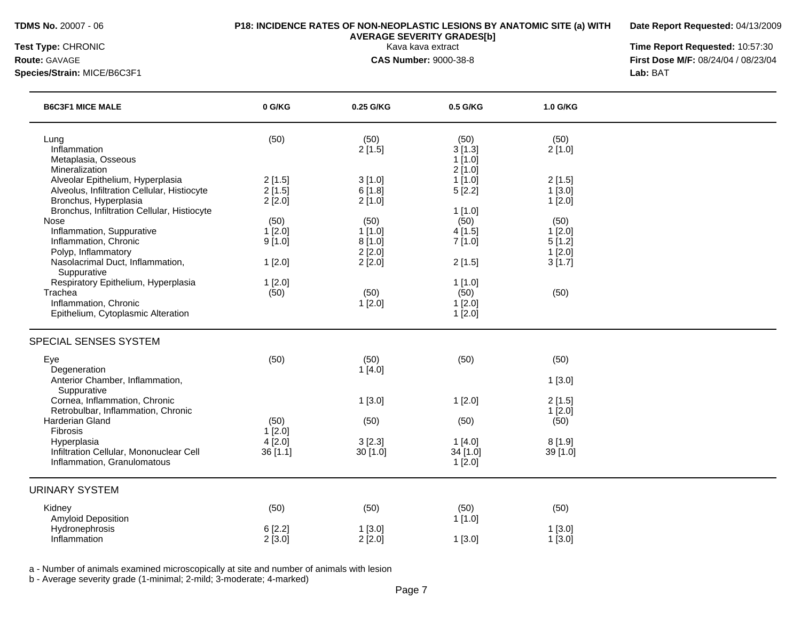**Date Report Requested:** 04/13/2009

**Species/Strain:** MICE/B6C3F1 **Lab:** BAT

**Test Type:** CHRONIC Kava kava extract **Time Report Requested:** 10:57:30 **Route:** GAVAGE **CAS Number:** 9000-38-8 **First Dose M/F:** 08/24/04 / 08/23/04

| <b>B6C3F1 MICE MALE</b>                                                                                                                                                   | 0 G/KG                                | 0.25 G/KG                                    | 0.5 G/KG                                | 1.0 G/KG                                        |  |
|---------------------------------------------------------------------------------------------------------------------------------------------------------------------------|---------------------------------------|----------------------------------------------|-----------------------------------------|-------------------------------------------------|--|
| Lung<br>Inflammation<br>Metaplasia, Osseous                                                                                                                               | (50)                                  | (50)<br>2[1.5]                               | (50)<br>3[1.3]<br>1[1.0]                | (50)<br>2[1.0]                                  |  |
| Mineralization<br>Alveolar Epithelium, Hyperplasia<br>Alveolus, Infiltration Cellular, Histiocyte<br>Bronchus, Hyperplasia<br>Bronchus, Infiltration Cellular, Histiocyte | 2[1.5]<br>2[1.5]<br>2[2.0]            | 3[1.0]<br>6[1.8]<br>2[1.0]                   | 2[1.0]<br>$1$ [1.0]<br>5[2.2]<br>1[1.0] | 2[1.5]<br>1[3.0]<br>1[2.0]                      |  |
| Nose<br>Inflammation, Suppurative<br>Inflammation, Chronic<br>Polyp, Inflammatory<br>Nasolacrimal Duct, Inflammation,                                                     | (50)<br>$1$ [2.0]<br>9[1.0]<br>1[2.0] | (50)<br>1[1.0]<br>8[1.0]<br>2[2.0]<br>2[2.0] | (50)<br>4[1.5]<br>7[1.0]<br>2[1.5]      | (50)<br>$1$ [2.0]<br>5[1.2]<br>1[2.0]<br>3[1.7] |  |
| Suppurative<br>Respiratory Epithelium, Hyperplasia<br>Trachea<br>Inflammation, Chronic<br>Epithelium, Cytoplasmic Alteration                                              | 1[2.0]<br>(50)                        | (50)<br>1[2.0]                               | 1[1.0]<br>(50)<br>1[2.0]<br>1[2.0]      | (50)                                            |  |
| SPECIAL SENSES SYSTEM                                                                                                                                                     |                                       |                                              |                                         |                                                 |  |
| Eye<br>Degeneration<br>Anterior Chamber, Inflammation,                                                                                                                    | (50)                                  | (50)<br>1[4.0]                               | (50)                                    | (50)<br>1[3.0]                                  |  |
| Suppurative<br>Cornea, Inflammation, Chronic<br>Retrobulbar, Inflammation, Chronic<br>Harderian Gland                                                                     | (50)                                  | 1[3.0]<br>(50)                               | 1[2.0]<br>(50)                          | 2[1.5]<br>1[2.0]<br>(50)                        |  |
| Fibrosis<br>Hyperplasia<br>Infiltration Cellular, Mononuclear Cell<br>Inflammation, Granulomatous                                                                         | 1[2.0]<br>4[2.0]<br>36 [1.1]          | 3[2.3]<br>30[1.0]                            | 1[4.0]<br>34 [1.0]<br>1[2.0]            | 8[1.9]<br>39 [1.0]                              |  |
| <b>URINARY SYSTEM</b>                                                                                                                                                     |                                       |                                              |                                         |                                                 |  |
| Kidney<br>Amyloid Deposition<br>Hydronephrosis<br>Inflammation                                                                                                            | (50)<br>6[2.2]<br>2[3.0]              | (50)<br>1[3.0]<br>2[2.0]                     | (50)<br>1[1.0]<br>1[3.0]                | (50)<br>1[3.0]<br>1[3.0]                        |  |

a - Number of animals examined microscopically at site and number of animals with lesion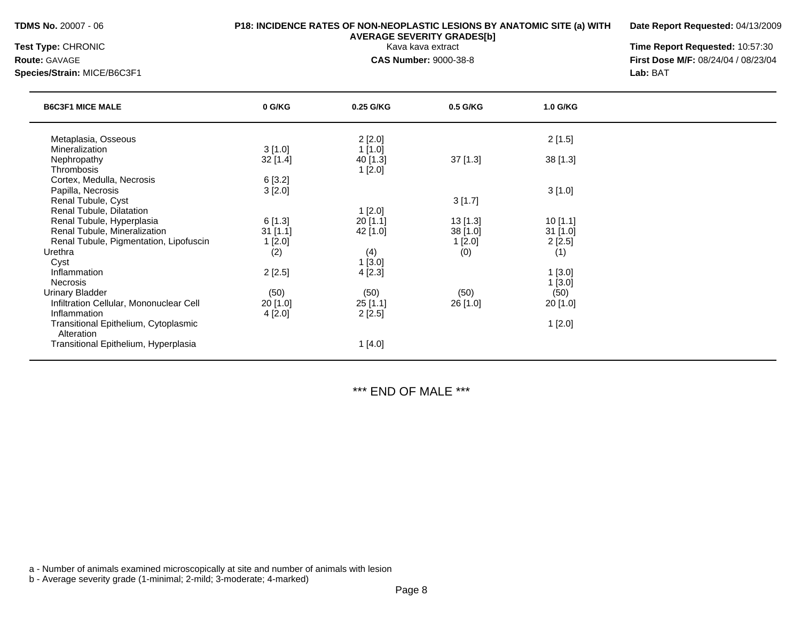### **TDMS No.** 20007 - 06 **P18: INCIDENCE RATES OF NON-NEOPLASTIC LESIONS BY ANATOMIC SITE (a) WITH**

**Date Report Requested:** 04/13/2009

**Species/Strain:** MICE/B6C3F1 **Lab:** BAT

**AVERAGE SEVERITY GRADES[b]**

**Test Type:** CHRONIC Kava kava extract **Time Report Requested:** 10:57:30 **Route:** GAVAGE **CAS Number:** 9000-38-8 **First Dose M/F:** 08/24/04 / 08/23/04

|                                                    | 0 G/KG     | 0.25 G/KG | 0.5 G/KG   | 1.0 G/KG   |  |
|----------------------------------------------------|------------|-----------|------------|------------|--|
| Metaplasia, Osseous                                |            | 2[2.0]    |            | 2[1.5]     |  |
| Mineralization                                     | 3[1.0]     | 1[1.0]    |            |            |  |
| Nephropathy                                        | $32$ [1.4] | 40 [1.3]  | 37 [1.3]   | 38[1.3]    |  |
| <b>Thrombosis</b>                                  |            | 1[2.0]    |            |            |  |
| Cortex, Medulla, Necrosis                          | 6[3.2]     |           |            |            |  |
| Papilla, Necrosis                                  | 3[2.0]     |           |            | 3[1.0]     |  |
| Renal Tubule, Cyst                                 |            |           | 3[1.7]     |            |  |
| Renal Tubule, Dilatation                           |            | 1[2.0]    |            |            |  |
| Renal Tubule, Hyperplasia                          | 6[1.3]     | 20[1.1]   | $13$ [1.3] | 10[1.1]    |  |
| Renal Tubule, Mineralization                       | $31$ [1.1] | 42 [1.0]  | 38 [1.0]   | $31$ [1.0] |  |
| Renal Tubule, Pigmentation, Lipofuscin             | 1[2.0]     |           | 1[2.0]     | 2[2.5]     |  |
| Urethra                                            | (2)        | (4)       | (0)        | (1)        |  |
| Cyst                                               |            | 1[3.0]    |            |            |  |
| Inflammation                                       | 2[2.5]     | 4[2.3]    |            | 1[3.0]     |  |
| <b>Necrosis</b>                                    |            |           |            | 1[3.0]     |  |
| <b>Urinary Bladder</b>                             | (50)       | (50)      | (50)       | (50)       |  |
| Infiltration Cellular, Mononuclear Cell            | 20 [1.0]   | 25[1.1]   | 26 [1.0]   | 20 [1.0]   |  |
| Inflammation                                       | 4[2.0]     | 2[2.5]    |            |            |  |
| Transitional Epithelium, Cytoplasmic<br>Alteration |            |           |            | 1[2.0]     |  |
| Transitional Epithelium, Hyperplasia               |            | 1 [4.0]   |            |            |  |

\*\*\* END OF MALE \*\*\*

a - Number of animals examined microscopically at site and number of animals with lesion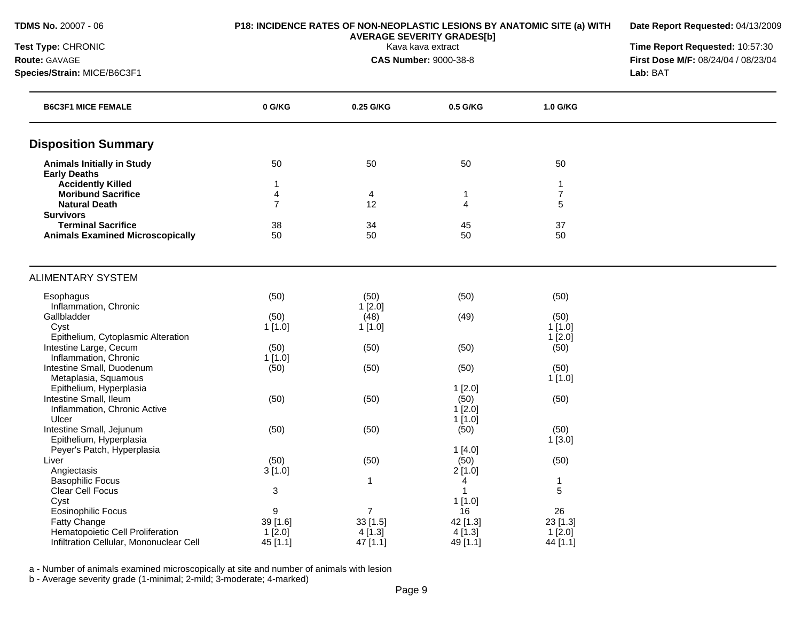| TDMS No. 20007 - 06 |  |  |  |  |  |  |
|---------------------|--|--|--|--|--|--|
|---------------------|--|--|--|--|--|--|

**Date Report Requested:** 04/13/2009

**Test Type:** CHRONIC Kava kava extract **Time Report Requested:** 10:57:30 **Route:** GAVAGE **CAS Number:** 9000-38-8 **First Dose M/F:** 08/24/04 / 08/23/04 **Species/Strain:** MICE/B6C3F1 **Lab:** BAT

| <b>B6C3F1 MICE FEMALE</b>               | 0 G/KG         | 0.25 G/KG      | 0.5 G/KG       | 1.0 G/KG       |  |
|-----------------------------------------|----------------|----------------|----------------|----------------|--|
| <b>Disposition Summary</b>              |                |                |                |                |  |
| <b>Animals Initially in Study</b>       | 50             | 50             | 50             | 50             |  |
| <b>Early Deaths</b>                     |                |                |                |                |  |
| <b>Accidently Killed</b>                | 1              |                |                | -1             |  |
| <b>Moribund Sacrifice</b>               | $\overline{4}$ | 4              | 1              | $\overline{7}$ |  |
| <b>Natural Death</b>                    | $\overline{7}$ | 12             | $\overline{4}$ | 5              |  |
| <b>Survivors</b>                        |                |                |                |                |  |
| <b>Terminal Sacrifice</b>               | 38             | 34             | 45             | 37             |  |
| <b>Animals Examined Microscopically</b> | 50             | 50             | 50             | 50             |  |
| <b>ALIMENTARY SYSTEM</b>                |                |                |                |                |  |
| Esophagus                               | (50)           | (50)           | (50)           | (50)           |  |
| Inflammation, Chronic                   |                | 1[2.0]         |                |                |  |
| Gallbladder                             | (50)           | (48)           | (49)           | (50)           |  |
| Cyst                                    | 1[1.0]         | 1[1.0]         |                | 1[1.0]         |  |
| Epithelium, Cytoplasmic Alteration      |                |                |                | $1$ [2.0]      |  |
| Intestine Large, Cecum                  | (50)           | (50)           | (50)           | (50)           |  |
| Inflammation, Chronic                   | 1[1.0]         |                |                |                |  |
| Intestine Small, Duodenum               | (50)           | (50)           | (50)           | (50)           |  |
| Metaplasia, Squamous                    |                |                |                | 1[1.0]         |  |
| Epithelium, Hyperplasia                 |                |                | 1[2.0]         |                |  |
| Intestine Small, Ileum                  | (50)           | (50)           | (50)           | (50)           |  |
| Inflammation, Chronic Active            |                |                | $1$ [2.0]      |                |  |
| Ulcer                                   |                |                | 1[1.0]         |                |  |
| Intestine Small, Jejunum                | (50)           | (50)           | (50)           | (50)           |  |
| Epithelium, Hyperplasia                 |                |                |                | 1[3.0]         |  |
| Peyer's Patch, Hyperplasia              |                |                | 1[4.0]         |                |  |
| Liver                                   | (50)           | (50)           | (50)           | (50)           |  |
| Angiectasis                             | 3[1.0]         |                | 2[1.0]         |                |  |
| <b>Basophilic Focus</b>                 |                | $\mathbf{1}$   | $\overline{4}$ | 1              |  |
| Clear Cell Focus                        | 3              |                | 1              | 5              |  |
| Cyst                                    |                |                | 1[1.0]         |                |  |
| <b>Eosinophilic Focus</b>               | 9              | $\overline{7}$ | 16             | 26             |  |
| Fatty Change                            | 39 [1.6]       | 33[1.5]        | 42 [1.3]       | 23 [1.3]       |  |
| Hematopoietic Cell Proliferation        | 1[2.0]         | 4[1.3]         | 4 [1.3]        | 1[2.0]         |  |
| Infiltration Cellular, Mononuclear Cell | 45 [1.1]       | 47 [1.1]       | 49 [1.1]       | 44 [1.1]       |  |

a - Number of animals examined microscopically at site and number of animals with lesion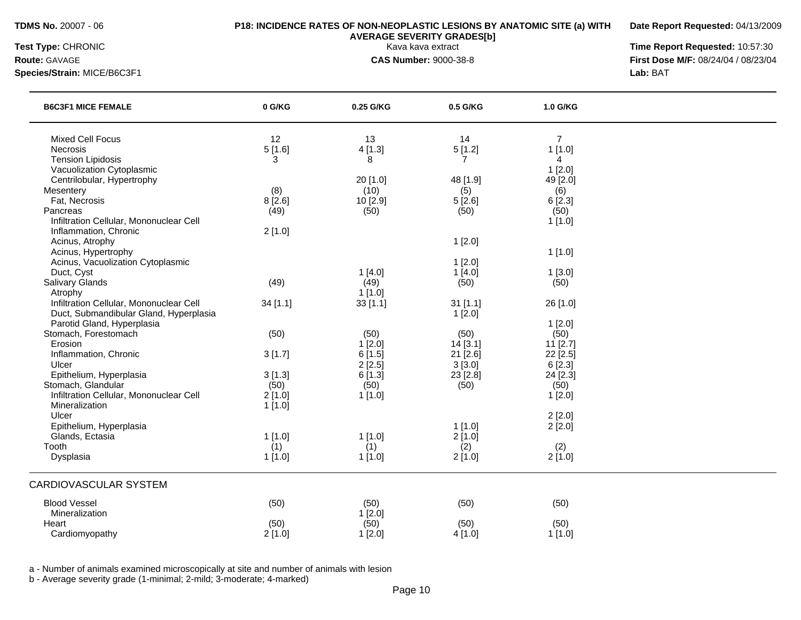**Date Report Requested:** 04/13/2009

**Species/Strain:** MICE/B6C3F1 **Lab:** BAT

**Test Type:** CHRONIC Kava kava extract **Time Report Requested:** 10:57:30 **Route:** GAVAGE **CAS Number:** 9000-38-8 **First Dose M/F:** 08/24/04 / 08/23/04

| <b>B6C3F1 MICE FEMALE</b>                                 | 0 G/KG   | 0.25 G/KG | 0.5 G/KG       | 1.0 G/KG       |  |
|-----------------------------------------------------------|----------|-----------|----------------|----------------|--|
| <b>Mixed Cell Focus</b>                                   | 12       | 13        | 14             | $\overline{7}$ |  |
| Necrosis                                                  | 5[1.6]   | 4[1.3]    | 5[1.2]         | 1[1.0]         |  |
| <b>Tension Lipidosis</b>                                  | 3        | 8         | $\overline{7}$ | $\overline{4}$ |  |
| Vacuolization Cytoplasmic                                 |          |           |                | 1[2.0]         |  |
| Centrilobular, Hypertrophy                                |          | 20 [1.0]  | 48 [1.9]       | 49 [2.0]       |  |
| Mesentery                                                 | (8)      | (10)      | (5)            | (6)            |  |
| Fat, Necrosis                                             | 8[2.6]   | 10 [2.9]  | 5[2.6]         | 6[2.3]         |  |
| Pancreas                                                  | (49)     | (50)      | (50)           | (50)           |  |
| Infiltration Cellular, Mononuclear Cell                   |          |           |                | 1[1.0]         |  |
| Inflammation, Chronic                                     | 2[1.0]   |           |                |                |  |
| Acinus, Atrophy                                           |          |           | 1[2.0]         |                |  |
| Acinus, Hypertrophy                                       |          |           |                | 1[1.0]         |  |
| Acinus, Vacuolization Cytoplasmic                         |          |           | 1[2.0]         |                |  |
| Duct, Cyst                                                |          | 1[4.0]    | 1[4.0]         | 1[3.0]         |  |
| Salivary Glands                                           | (49)     | (49)      | (50)           | (50)           |  |
| Atrophy                                                   |          | 1[1.0]    |                |                |  |
| Infiltration Cellular, Mononuclear Cell                   | 34 [1.1] | 33[1.1]   | $31$ [1.1]     | 26 [1.0]       |  |
| Duct, Submandibular Gland, Hyperplasia                    |          |           | 1[2.0]         |                |  |
| Parotid Gland, Hyperplasia                                |          |           |                | 1[2.0]         |  |
| Stomach, Forestomach                                      | (50)     | (50)      | (50)           | (50)           |  |
| Erosion                                                   |          | 1[2.0]    | 14[3.1]        | $11$ [2.7]     |  |
| Inflammation, Chronic                                     | 3[1.7]   | 6[1.5]    | 21 [2.6]       | 22 [2.5]       |  |
| Ulcer                                                     |          | 2[2.5]    | 3[3.0]         | 6[2.3]         |  |
| Epithelium, Hyperplasia                                   | 3[1.3]   | 6 [1.3]   | 23 [2.8]       | 24 [2.3]       |  |
| Stomach, Glandular                                        | (50)     | (50)      | (50)           | (50)           |  |
| Infiltration Cellular, Mononuclear Cell<br>Mineralization | 2[1.0]   | 1[1.0]    |                | 1[2.0]         |  |
| Ulcer                                                     | 1[1.0]   |           |                |                |  |
| Epithelium, Hyperplasia                                   |          |           | 1[1.0]         | 2[2.0]         |  |
| Glands, Ectasia                                           | 1[1.0]   | 1[1.0]    | 2[1.0]         | 2[2.0]         |  |
| Tooth                                                     | (1)      | (1)       | (2)            | (2)            |  |
| Dysplasia                                                 | 1[1.0]   | 1[1.0]    | 2[1.0]         | 2[1.0]         |  |
|                                                           |          |           |                |                |  |
| <b>CARDIOVASCULAR SYSTEM</b>                              |          |           |                |                |  |
| <b>Blood Vessel</b>                                       | (50)     | (50)      | (50)           | (50)           |  |
| Mineralization                                            |          | 1[2.0]    |                |                |  |
| Heart                                                     | (50)     | (50)      | (50)           | (50)           |  |
| Cardiomyopathy                                            | 2[1.0]   | 1[2.0]    | 4[1.0]         | 1[1.0]         |  |

a - Number of animals examined microscopically at site and number of animals with lesion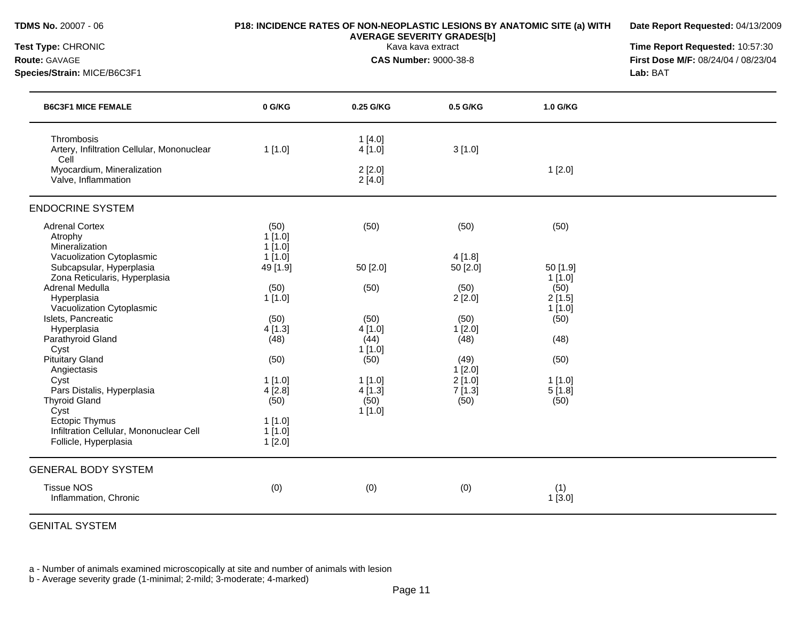| <b>TDMS No. 20007 - 06</b><br>Test Type: CHRONIC<br>Route: GAVAGE<br>Species/Strain: MICE/B6C3F1 |                               | P18: INCIDENCE RATES OF NON-NEOPLASTIC LESIONS BY ANATOMIC SITE (a) WITH<br><b>AVERAGE SEVERITY GRADES[b]</b><br>Kava kava extract<br><b>CAS Number: 9000-38-8</b> | Date Report Requested: 04/13/2009<br>Time Report Requested: 10:57:30<br>First Dose M/F: 08/24/04 / 08/23/04<br>Lab: BAT |                             |  |
|--------------------------------------------------------------------------------------------------|-------------------------------|--------------------------------------------------------------------------------------------------------------------------------------------------------------------|-------------------------------------------------------------------------------------------------------------------------|-----------------------------|--|
| <b>B6C3F1 MICE FEMALE</b>                                                                        | 0 G/KG                        | 0.25 G/KG                                                                                                                                                          | 0.5 G/KG                                                                                                                | 1.0 G/KG                    |  |
| Thrombosis<br>Artery, Infiltration Cellular, Mononuclear<br>Cell                                 | 1[1.0]                        | 1[4.0]<br>4[1.0]                                                                                                                                                   | 3[1.0]                                                                                                                  |                             |  |
| Myocardium, Mineralization<br>Valve, Inflammation                                                |                               | 2[2.0]<br>2[4.0]                                                                                                                                                   |                                                                                                                         | 1[2.0]                      |  |
| <b>ENDOCRINE SYSTEM</b>                                                                          |                               |                                                                                                                                                                    |                                                                                                                         |                             |  |
| <b>Adrenal Cortex</b><br>Atrophy<br>Mineralization                                               | (50)<br>1[1.0]<br>1[1.0]      | (50)                                                                                                                                                               | (50)                                                                                                                    | (50)                        |  |
| Vacuolization Cytoplasmic<br>Subcapsular, Hyperplasia<br>Zona Reticularis, Hyperplasia           | 1[1.0]<br>49 [1.9]            | 50 [2.0]                                                                                                                                                           | 4 [1.8]<br>$50$ [2.0]                                                                                                   | 50 [1.9]<br>$1$ [1.0]       |  |
| Adrenal Medulla<br>Hyperplasia<br>Vacuolization Cytoplasmic                                      | (50)<br>$1$ [1.0]             | (50)                                                                                                                                                               | (50)<br>2[2.0]                                                                                                          | (50)<br>2[1.5]<br>$1$ [1.0] |  |
| Islets, Pancreatic<br>Hyperplasia<br>Parathyroid Gland<br>Cyst                                   | (50)<br>4[1.3]<br>(48)        | (50)<br>4[1.0]<br>(44)<br>1[1.0]                                                                                                                                   | (50)<br>1[2.0]<br>(48)                                                                                                  | (50)<br>(48)                |  |
| <b>Pituitary Gland</b><br>Angiectasis<br>Cyst                                                    | (50)<br>$1$ [1.0]             | (50)<br>$1$ [1.0]                                                                                                                                                  | (49)<br>1[2.0]<br>$2$ [1.0]                                                                                             | (50)<br>$1$ [1.0]           |  |
| Pars Distalis, Hyperplasia<br><b>Thyroid Gland</b><br>Cyst                                       | 4[2.8]<br>(50)                | 4 [1.3]<br>(50)<br>$1$ [1.0]                                                                                                                                       | 7[1.3]<br>(50)                                                                                                          | 5[1.8]<br>(50)              |  |
| <b>Ectopic Thymus</b><br>Infiltration Cellular, Mononuclear Cell<br>Follicle, Hyperplasia        | 1[1.0]<br>1[1.0]<br>$1$ [2.0] |                                                                                                                                                                    |                                                                                                                         |                             |  |
| <b>GENERAL BODY SYSTEM</b>                                                                       |                               |                                                                                                                                                                    |                                                                                                                         |                             |  |
| <b>Tissue NOS</b><br>Inflammation, Chronic                                                       | (0)                           | (0)                                                                                                                                                                | (0)                                                                                                                     | (1)<br>1[3.0]               |  |

GENITAL SYSTEM

a - Number of animals examined microscopically at site and number of animals with lesion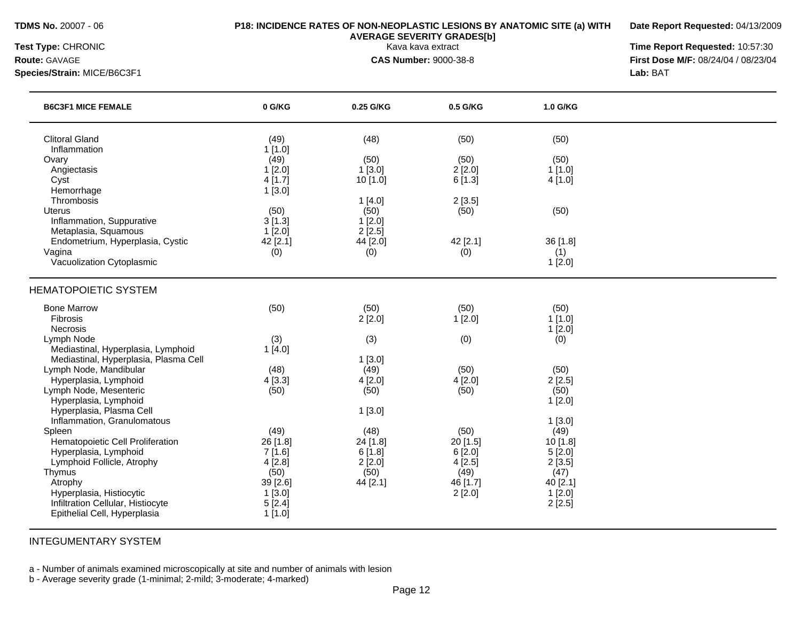**Date Report Requested:** 04/13/2009

**Species/Strain:** MICE/B6C3F1 **Lab:** BAT

**Test Type:** CHRONIC Kava kava extract **Time Report Requested:** 10:57:30 **Route:** GAVAGE **CAS Number:** 9000-38-8 **First Dose M/F:** 08/24/04 / 08/23/04

| <b>B6C3F1 MICE FEMALE</b>                         | 0 G/KG         | 0.25 G/KG | 0.5 G/KG   | 1.0 G/KG  |  |
|---------------------------------------------------|----------------|-----------|------------|-----------|--|
| <b>Clitoral Gland</b>                             | (49)           | (48)      | (50)       | (50)      |  |
| Inflammation<br>Ovary                             | 1[1.0]<br>(49) | (50)      | (50)       | (50)      |  |
| Angiectasis                                       | 1[2.0]         | 1[3.0]    | 2[2.0]     | 1[1.0]    |  |
| Cyst                                              | 4[1.7]         | 10 [1.0]  | 6[1.3]     | 4[1.0]    |  |
| Hemorrhage                                        | 1[3.0]         |           |            |           |  |
| Thrombosis                                        |                | 1[4.0]    | 2[3.5]     |           |  |
| Uterus                                            | (50)           | (50)      | (50)       | (50)      |  |
| Inflammation, Suppurative                         | 3[1.3]         | $1$ [2.0] |            |           |  |
| Metaplasia, Squamous                              | 1[2.0]         | 2[2.5]    |            |           |  |
| Endometrium, Hyperplasia, Cystic                  | 42 [2.1]       | 44 [2.0]  | 42 [2.1]   | 36 [1.8]  |  |
| Vagina                                            | (0)            | (0)       | (0)        | (1)       |  |
| Vacuolization Cytoplasmic                         |                |           |            | 1[2.0]    |  |
| <b>HEMATOPOIETIC SYSTEM</b>                       |                |           |            |           |  |
| <b>Bone Marrow</b>                                | (50)           | (50)      | (50)       | (50)      |  |
| Fibrosis                                          |                | 2[2.0]    | 1[2.0]     | 1[1.0]    |  |
| <b>Necrosis</b>                                   |                |           |            | $1$ [2.0] |  |
| Lymph Node                                        | (3)            | (3)       | (0)        | (0)       |  |
| Mediastinal, Hyperplasia, Lymphoid                | 1[4.0]         |           |            |           |  |
| Mediastinal, Hyperplasia, Plasma Cell             |                | 1[3.0]    |            |           |  |
| Lymph Node, Mandibular                            | (48)           | (49)      | (50)       | (50)      |  |
| Hyperplasia, Lymphoid                             | 4[3.3]         | 4[2.0]    | 4[2.0]     | 2[2.5]    |  |
| Lymph Node, Mesenteric                            | (50)           | (50)      | (50)       | (50)      |  |
| Hyperplasia, Lymphoid<br>Hyperplasia, Plasma Cell |                |           |            | 1[2.0]    |  |
| Inflammation, Granulomatous                       |                | 1[3.0]    |            | 1[3.0]    |  |
| Spleen                                            | (49)           | (48)      | (50)       | (49)      |  |
| Hematopoietic Cell Proliferation                  | 26 [1.8]       | 24 [1.8]  | $20$ [1.5] | 10 [1.8]  |  |
| Hyperplasia, Lymphoid                             | 7[1.6]         | 6[1.8]    | 6[2.0]     | 5[2.0]    |  |
| Lymphoid Follicle, Atrophy                        | 4[2.8]         | 2[2.0]    | 4[2.5]     | 2[3.5]    |  |
| Thymus                                            | (50)           | (50)      | (49)       | (47)      |  |
| Atrophy                                           | 39 [2.6]       | 44 [2.1]  | 46 [1.7]   | 40 [2.1]  |  |
| Hyperplasia, Histiocytic                          | 1[3.0]         |           | 2[2.0]     | 1[2.0]    |  |
| Infiltration Cellular, Histiocyte                 | 5[2.4]         |           |            | 2[2.5]    |  |
| Epithelial Cell, Hyperplasia                      | 1[1.0]         |           |            |           |  |

### INTEGUMENTARY SYSTEM

a - Number of animals examined microscopically at site and number of animals with lesion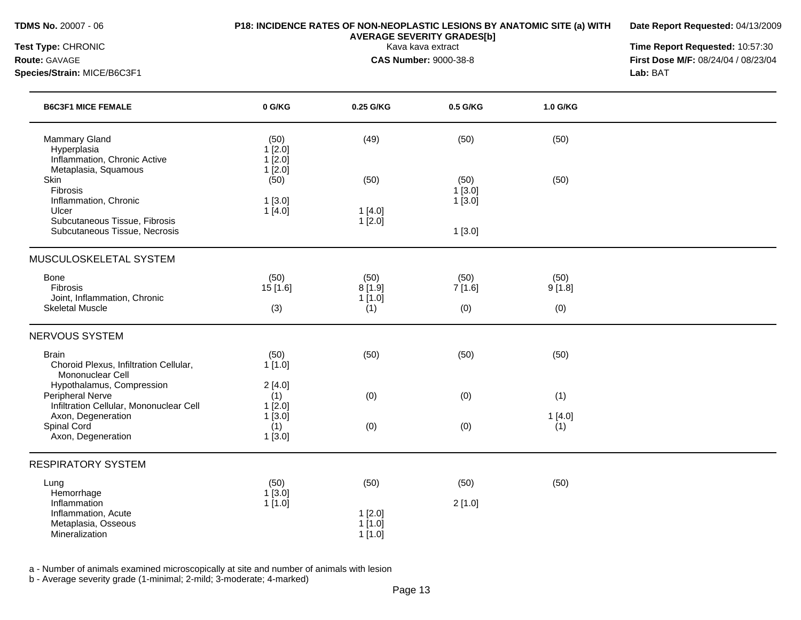**Date Report Requested:** 04/13/2009

**Species/Strain:** MICE/B6C3F1 **Lab:** BAT

**Test Type:** CHRONIC Kava kava extract **Time Report Requested:** 10:57:30 **Route:** GAVAGE **CAS Number:** 9000-38-8 **First Dose M/F:** 08/24/04 / 08/23/04

| <b>B6C3F1 MICE FEMALE</b>                                                                | 0 G/KG                             | 0.25 G/KG                        | 0.5 G/KG                 | 1.0 G/KG       |  |
|------------------------------------------------------------------------------------------|------------------------------------|----------------------------------|--------------------------|----------------|--|
| <b>Mammary Gland</b><br>Hyperplasia<br>Inflammation, Chronic Active                      | (50)<br>1[2.0]<br>1[2.0]           | (49)                             | (50)                     | (50)           |  |
| Metaplasia, Squamous<br>Skin<br>Fibrosis<br>Inflammation, Chronic<br>Ulcer               | 1[2.0]<br>(50)<br>1[3.0]<br>1[4.0] | (50)<br>1[4.0]                   | (50)<br>1[3.0]<br>1[3.0] | (50)           |  |
| Subcutaneous Tissue, Fibrosis<br>Subcutaneous Tissue, Necrosis                           |                                    | $1$ [2.0]                        | 1[3.0]                   |                |  |
| MUSCULOSKELETAL SYSTEM                                                                   |                                    |                                  |                          |                |  |
| <b>Bone</b><br>Fibrosis                                                                  | (50)<br>15 [1.6]                   | (50)<br>8[1.9]                   | (50)<br>7[1.6]           | (50)<br>9[1.8] |  |
| Joint, Inflammation, Chronic<br><b>Skeletal Muscle</b>                                   | (3)                                | 1[1.0]<br>(1)                    | (0)                      | (0)            |  |
| <b>NERVOUS SYSTEM</b>                                                                    |                                    |                                  |                          |                |  |
| <b>Brain</b><br>Choroid Plexus, Infiltration Cellular,<br>Mononuclear Cell               | (50)<br>1[1.0]                     | (50)                             | (50)                     | (50)           |  |
| Hypothalamus, Compression<br>Peripheral Nerve<br>Infiltration Cellular, Mononuclear Cell | 2[4.0]<br>(1)<br>1[2.0]            | (0)                              | (0)                      | (1)            |  |
| Axon, Degeneration<br>Spinal Cord<br>Axon, Degeneration                                  | 1[3.0]<br>(1)<br>1[3.0]            | (0)                              | (0)                      | 1[4.0]<br>(1)  |  |
| <b>RESPIRATORY SYSTEM</b>                                                                |                                    |                                  |                          |                |  |
| Lung<br>Hemorrhage                                                                       | (50)<br>1[3.0]                     | (50)                             | (50)                     | (50)           |  |
| Inflammation<br>Inflammation, Acute<br>Metaplasia, Osseous<br>Mineralization             | 1[1.0]                             | 1[2.0]<br>$1$ [1.0]<br>$1$ [1.0] | 2[1.0]                   |                |  |

a - Number of animals examined microscopically at site and number of animals with lesion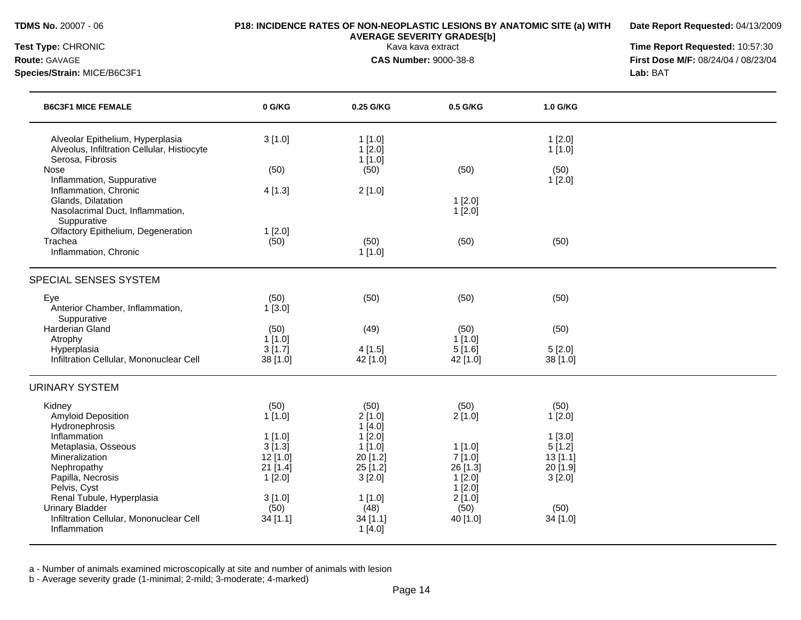## **TDMS No.** 20007 - 06 **P18: INCIDENCE RATES OF NON-NEOPLASTIC LESIONS BY ANATOMIC SITE (a) WITH**

**Date Report Requested:** 04/13/2009

**Species/Strain:** MICE/B6C3F1 **Lab:** BAT

**AVERAGE SEVERITY GRADES[b]**

**Test Type:** CHRONIC Kava kava extract **Time Report Requested:** 10:57:30 **Route:** GAVAGE **CAS Number:** 9000-38-8 **First Dose M/F:** 08/24/04 / 08/23/04

| <b>B6C3F1 MICE FEMALE</b>                                                                                                                                        | 0 G/KG                                                                      | 0.25 G/KG                                                               | 0.5 G/KG                                                           | 1.0 G/KG                                                     |  |
|------------------------------------------------------------------------------------------------------------------------------------------------------------------|-----------------------------------------------------------------------------|-------------------------------------------------------------------------|--------------------------------------------------------------------|--------------------------------------------------------------|--|
| Alveolar Epithelium, Hyperplasia<br>Alveolus, Infiltration Cellular, Histiocyte<br>Serosa, Fibrosis                                                              | 3[1.0]                                                                      | 1[1.0]<br>$1$ [2.0]<br>1[1.0]                                           |                                                                    | 1[2.0]<br>1[1.0]                                             |  |
| Nose<br>Inflammation, Suppurative                                                                                                                                | (50)                                                                        | (50)                                                                    | (50)                                                               | (50)<br>1[2.0]                                               |  |
| Inflammation, Chronic<br>Glands, Dilatation<br>Nasolacrimal Duct, Inflammation,<br>Suppurative                                                                   | 4[1.3]                                                                      | 2[1.0]                                                                  | 1[2.0]<br>1[2.0]                                                   |                                                              |  |
| Olfactory Epithelium, Degeneration<br>Trachea<br>Inflammation, Chronic                                                                                           | 1[2.0]<br>(50)                                                              | (50)<br>1[1.0]                                                          | (50)                                                               | (50)                                                         |  |
| SPECIAL SENSES SYSTEM                                                                                                                                            |                                                                             |                                                                         |                                                                    |                                                              |  |
| Eye<br>Anterior Chamber, Inflammation,<br>Suppurative                                                                                                            | (50)<br>1[3.0]                                                              | (50)                                                                    | (50)                                                               | (50)                                                         |  |
| Harderian Gland<br>Atrophy                                                                                                                                       | (50)<br>1[1.0]                                                              | (49)                                                                    | (50)<br>1[1.0]                                                     | (50)                                                         |  |
| Hyperplasia<br>Infiltration Cellular, Mononuclear Cell                                                                                                           | 3[1.7]<br>38 [1.0]                                                          | 4[1.5]<br>42 [1.0]                                                      | 5[1.6]<br>42 [1.0]                                                 | 5[2.0]<br>38 [1.0]                                           |  |
| <b>URINARY SYSTEM</b>                                                                                                                                            |                                                                             |                                                                         |                                                                    |                                                              |  |
| Kidney<br><b>Amyloid Deposition</b><br>Hydronephrosis                                                                                                            | (50)<br>1[1.0]                                                              | (50)<br>2[1.0]<br>1[4.0]                                                | (50)<br>2[1.0]                                                     | (50)<br>1[2.0]                                               |  |
| Inflammation<br>Metaplasia, Osseous<br>Mineralization<br>Nephropathy<br>Papilla, Necrosis<br>Pelvis, Cyst<br>Renal Tubule, Hyperplasia<br><b>Urinary Bladder</b> | $1$ [1.0]<br>3[1.3]<br>$12$ [1.0]<br>$21$ [1.4]<br>1[2.0]<br>3[1.0]<br>(50) | 1[2.0]<br>$1$ [1.0]<br>20 [1.2]<br>25 [1.2]<br>3[2.0]<br>1[1.0]<br>(48) | 1[1.0]<br>7[1.0]<br>26 [1.3]<br>1[2.0]<br>1[2.0]<br>2[1.0]<br>(50) | $1$ [3.0]<br>5[1.2]<br>13[1.1]<br>20 [1.9]<br>3[2.0]<br>(50) |  |
| Infiltration Cellular, Mononuclear Cell<br>Inflammation                                                                                                          | 34[1.1]                                                                     | 34 [1.1]<br>1[4.0]                                                      | 40 [1.0]                                                           | 34 [1.0]                                                     |  |

a - Number of animals examined microscopically at site and number of animals with lesion